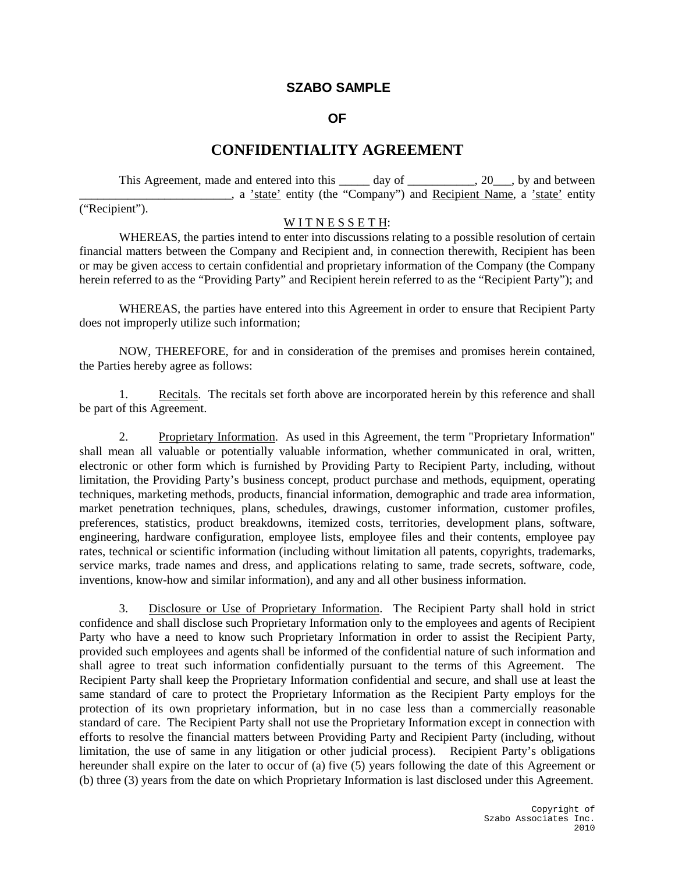## **SZABO SAMPLE**

## **OF**

## **CONFIDENTIALITY AGREEMENT**

This Agreement, made and entered into this \_\_\_\_\_ day of \_\_\_\_\_\_\_\_\_, 20\_\_\_, by and between \_\_\_\_\_\_\_\_\_\_\_\_\_\_\_\_\_\_\_\_\_\_\_\_\_, a 'state' entity (the "Company") and Recipient Name, a 'state' entity

("Recipient").

## WITNESSETH:

WHEREAS, the parties intend to enter into discussions relating to a possible resolution of certain financial matters between the Company and Recipient and, in connection therewith, Recipient has been or may be given access to certain confidential and proprietary information of the Company (the Company herein referred to as the "Providing Party" and Recipient herein referred to as the "Recipient Party"); and

WHEREAS, the parties have entered into this Agreement in order to ensure that Recipient Party does not improperly utilize such information;

NOW, THEREFORE, for and in consideration of the premises and promises herein contained, the Parties hereby agree as follows:

1. Recitals. The recitals set forth above are incorporated herein by this reference and shall be part of this Agreement.

2. Proprietary Information. As used in this Agreement, the term "Proprietary Information" shall mean all valuable or potentially valuable information, whether communicated in oral, written, electronic or other form which is furnished by Providing Party to Recipient Party, including, without limitation, the Providing Party's business concept, product purchase and methods, equipment, operating techniques, marketing methods, products, financial information, demographic and trade area information, market penetration techniques, plans, schedules, drawings, customer information, customer profiles, preferences, statistics, product breakdowns, itemized costs, territories, development plans, software, engineering, hardware configuration, employee lists, employee files and their contents, employee pay rates, technical or scientific information (including without limitation all patents, copyrights, trademarks, service marks, trade names and dress, and applications relating to same, trade secrets, software, code, inventions, know-how and similar information), and any and all other business information.

3. Disclosure or Use of Proprietary Information. The Recipient Party shall hold in strict confidence and shall disclose such Proprietary Information only to the employees and agents of Recipient Party who have a need to know such Proprietary Information in order to assist the Recipient Party, provided such employees and agents shall be informed of the confidential nature of such information and shall agree to treat such information confidentially pursuant to the terms of this Agreement. The Recipient Party shall keep the Proprietary Information confidential and secure, and shall use at least the same standard of care to protect the Proprietary Information as the Recipient Party employs for the protection of its own proprietary information, but in no case less than a commercially reasonable standard of care. The Recipient Party shall not use the Proprietary Information except in connection with efforts to resolve the financial matters between Providing Party and Recipient Party (including, without limitation, the use of same in any litigation or other judicial process). Recipient Party's obligations hereunder shall expire on the later to occur of (a) five (5) years following the date of this Agreement or (b) three (3) years from the date on which Proprietary Information is last disclosed under this Agreement.